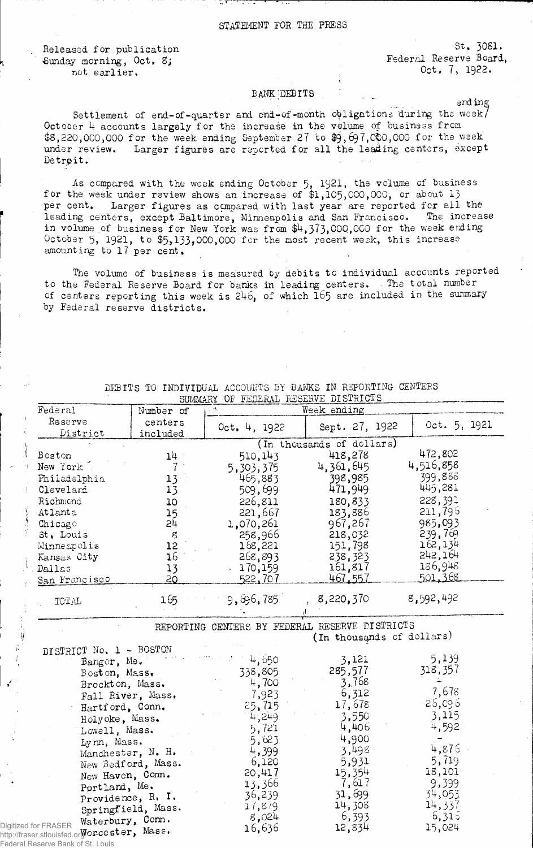┯

a kananana a

Released for publication Sunday morning, Oct, 8; not earlier.

Federal R

St, 3081. Federal Reserve Board, Oct, 7> 1922,

## BANK: DEBITS

ending

Settlement of end-of-quarter and end-of-month obligations during the week/ October 4 accounts largely for the increase in the volume of business from  $$8,220,000,000$  for the week ending September 27 to  $$9,697,000,000$  for the week under review. Larger figures are reported for all the leading centers, except Detrøit.

As compared with the week ending October 5, 1921, the volume of business for the week under review shows an increase of \$1,105,000,000, or about 13 per cent. Larger figures as compared with last year are reported for all the leading centers, except Baltimore, Minneapolis and San Francisco. The increase in volume of business for New York was from \$4,373,000,000 for the week ending October 5, 1921, to  $$5,133,000,000$  for the most recent week, this increase amounting to 17 per cent.

The volume of business is measured by debits to individual accounts reported to the Federal Reserve Board for banks in leading centers. - The total number of centers reporting this week is  $246$ , of which  $165$  are included in the summary by Federal reserve districts.

|                                                                      |                     |              | SUMMARY OF FEDERAL RESERVE DISTRICTS |              |
|----------------------------------------------------------------------|---------------------|--------------|--------------------------------------|--------------|
| Federal                                                              | Number of           |              | Week ending                          |              |
| Reserve                                                              | centers             | 0ct, 4, 1922 | Sept. 27, 1922                       | Oct. 5, 1921 |
| District                                                             | included            |              |                                      |              |
|                                                                      |                     |              | (In thousands of dollars)            |              |
| Boston                                                               | $14 -$              | 510,143      | 418,278                              | 472,802      |
| New York <sup>1</sup>                                                |                     | 5,303,375    | 4,361,645                            | 4,516,858    |
| Philadelphia                                                         | 13                  | 465,883      | 398,985                              | 399,888      |
| Cleveland                                                            | 13                  | 509,699      | 471,949                              | 445,281      |
| Richmond                                                             | 10                  | 226,811      | 180,833                              | 228,391      |
| Atlanta                                                              | 15                  | 221,667      | 183,886                              | 211,796      |
| Chicago                                                              | 5 <sup>1</sup>      | 1,070,261    | 967,267                              | 985,093      |
| St. Louis                                                            | $\mathcal{E}% _{0}$ | 258,966      | 218,032                              | 239,769      |
| Minneapolis                                                          | 12                  | 168,221      | 151,798                              | 162,134      |
| Kansas City                                                          | 16                  | 268,893      | 238,323                              | 515,164      |
| Dallas                                                               | 13                  | 170,159      | 161,817                              | 186,948      |
| San Francisco                                                        | 20                  | 522,707      | 467,557                              | 501,368      |
|                                                                      |                     |              |                                      | 8,592,492    |
| TOTAL                                                                | 165                 | 9,696,785    | 8,220,370                            |              |
| DISTRICT No. 1 - BOSTON<br>Bangor, Me.                               |                     | 4,650        | (In thousands of dollars)<br>3,121   | 5,139        |
| Boston, Mass.                                                        |                     | 338,805      | 285,577                              | 318,357      |
| Brockton, Mass.                                                      |                     | 4,700        | 3,768                                |              |
|                                                                      | Fall River, Mass.   | 7,923        | 6,312                                | 7,678        |
| Hartford, Conn.                                                      |                     | 25, 715      | 17,678                               | 26,096       |
| Holyoke, Mass.                                                       |                     | 4,249        | 3,550                                | 3,115        |
| Lowell, Mass.                                                        |                     | 5,721        | 4,406                                | 4,592        |
| Lynn, Mass.                                                          |                     | 5,623        | 4,900                                |              |
|                                                                      | Manchester, N. H.   | 4,399        | 3,498                                | 4,876        |
|                                                                      | New Bedford, Mass.  | 6,120        | 5,931                                | 5,719        |
| New Haven, Conn.                                                     |                     | 20,417       | 15,354                               | 18,101       |
| Portland, Me.                                                        |                     | 13,366       | 7,617                                | 9,399        |
|                                                                      | Providence, R. I.   | 36,239       | 31,699                               | 34,053       |
|                                                                      | Springfield, Mass.  | 17,879       | 14,308                               | 14,337       |
| Waterbury, Com.                                                      |                     | 8,024        | 6,393                                | 6,315        |
| Digitized for FRASER<br>http://fraser.stlouisfed.orgor.cester, Mass. |                     | 16,636       | 12,834                               | 15,024       |
| Eadaral Pasarya Rank of St. Louis                                    |                     |              |                                      |              |

DEBITS TO INDIVIDUAL ACCOUNTS BY BANKS IN REPORTING CENTERS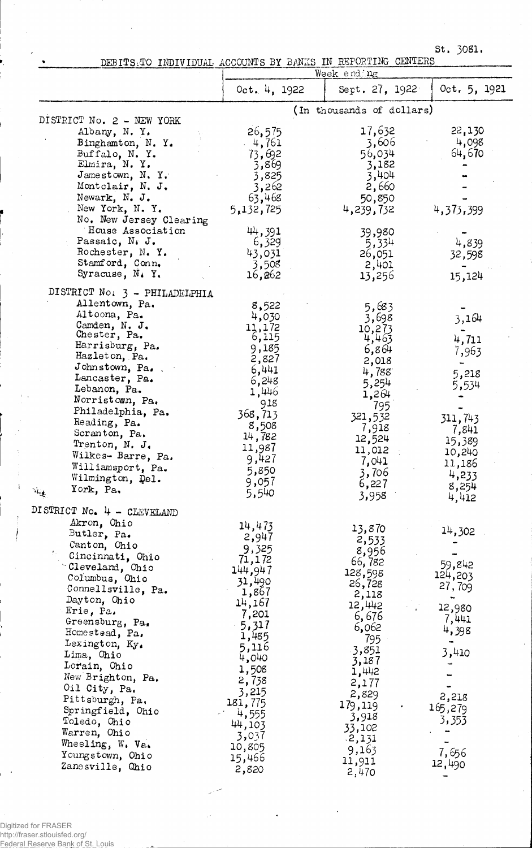St. 3081.

DEBITSRTO INDIVIDUAL ACCOUNTS BY BANKS IN REPORTING CENTERS

|                                                                                                                                                                                                                                                                                                                                                                                                                                                                |                                                                                                                                                                                                                        | Week end ng                                                                                                                                                                                                          |                                                                                                                            |
|----------------------------------------------------------------------------------------------------------------------------------------------------------------------------------------------------------------------------------------------------------------------------------------------------------------------------------------------------------------------------------------------------------------------------------------------------------------|------------------------------------------------------------------------------------------------------------------------------------------------------------------------------------------------------------------------|----------------------------------------------------------------------------------------------------------------------------------------------------------------------------------------------------------------------|----------------------------------------------------------------------------------------------------------------------------|
|                                                                                                                                                                                                                                                                                                                                                                                                                                                                | Oct. $4, 1922$                                                                                                                                                                                                         | Sept. 27, 1922                                                                                                                                                                                                       | 0ct. 5, 1921                                                                                                               |
|                                                                                                                                                                                                                                                                                                                                                                                                                                                                |                                                                                                                                                                                                                        | (In thousands of dollars)                                                                                                                                                                                            |                                                                                                                            |
| DISTRICT No. 2 - NEW YORK<br>Albany, N.Y.<br>Binghamton, N.Y.<br>Buffalo, N.Y.<br>Elmira, N.Y.<br>Jamestown, N.Y.<br>Montclair, N. J.<br>Newark, N. J.<br>New York, N.Y.<br>No. New Jersey Clearing<br>House Association                                                                                                                                                                                                                                       | 26,575<br>4,761<br>73,692<br>3,869<br>3,825<br>3,262<br>63,468<br>5,132,725<br>44,391                                                                                                                                  | 17,632<br>3,606<br>56,034<br>3,182<br>3,404<br>2,660<br>50,850<br>4,239,732<br>39,980                                                                                                                                | 22,130<br>4,098<br>64,670<br>4,373,399                                                                                     |
| Passaic, N. J.<br>Rochester, N.Y.<br>Stamford, Conn.<br>Syracuse, N.Y.                                                                                                                                                                                                                                                                                                                                                                                         | 6,329<br>43,031<br>3,508<br>16,262                                                                                                                                                                                     | 5,334<br>26,051<br>2,401<br>13,256                                                                                                                                                                                   | 4,839<br>32,598<br>15,124                                                                                                  |
| DISTRICT No. 3 - PHILADELPHIA<br>Allentown, Pa.<br>Altoona, Pa.<br>Camden, N. J.<br>Chester, Pa.<br>Harrisburg, Pa.<br>Hazleton, Pa.<br>Johnstown, Pa.<br>Lancaster, Pa.<br>Lebanon, Pa.<br>Norristown, Pa.<br>Philadelphia, Pa.<br>Reading, Pa.<br>Scranton, Pa.<br>Trenton, N. J.<br>Wilkes- Barre, Pa.<br>Williamsport, Pa.<br>Wilmington, Del.<br>York, Pa.<br>$\mathcal{M}_{\text{reg}}$                                                                  | 8,522<br>4,030<br>11,172<br>6,115<br>9,185<br>2,827<br>6,441<br>6,248<br>1,446<br>918<br>368,713<br>8,508<br>14,782<br>11,987<br>9,427<br>5,850<br>9,057<br>5,540                                                      | 5,683<br>3,698<br>10,273<br>4,463<br>6,864<br>2,018<br>4,788<br>5,254<br>1,264<br>795<br>321,532<br>7,918<br>12,524<br>11,012<br>7,041<br>3,706<br>6,227<br>3,958                                                    | 3,164<br>4,711<br>7,963<br>5,218<br>5,534<br>311,743<br>7,841<br>15,389<br>10,240<br>11,186<br>4,233<br>8,254<br>4,412     |
| DISTRICT No. 4 - CLEVELAND<br>Akron, Ohio<br>Butler, Pa.<br>Canton, Ohio<br>Cincinnati, Ohio<br>Cleveland, Ohio<br>Columbus, Ohio<br>Connellsville, Pa.<br>Dayton, Ohio<br>Erie, Pa.<br>Greensburg, Pa.<br>Homestead, Pa.<br>Lexington, $Ky_{\bullet}$<br>Lima, Chio<br>Lorain, Ohio<br>New Brighton, Pa.<br>Oil City, Pa.<br>Pittsburgh, Pa.<br>Springfield, Ohio<br>Toledo, Ohio<br>Warren, Ohio<br>Wheeling, W. Va.<br>Youngstown, Ohio<br>Zanesville, Ohio | 14,473<br>2,947<br>9,325<br>71,172<br>144,947<br>31,490<br>1,867<br>14,167<br>7,201<br>5,317<br>1,485<br>5,116<br>4,010<br>1,508<br>2,738<br>3,215<br>181,775<br>4,555<br>44,103<br>3,037<br>10,805<br>15,466<br>2,820 | 13,870<br>2,533<br>8,956<br>66,782<br>128,598<br>26,728<br>2,118<br>12,442<br>6,676<br>6,062<br>795<br>3,851<br>3,187<br>1,442<br>2,177<br>2,829<br>179,119<br>3,918<br>33,102<br>.2,131<br>9,163<br>11,911<br>2,470 | 14,302<br>59,842<br>124,203<br>27,709<br>12,980<br>7,441<br>4,398<br>3,410<br>2,218<br>165,279<br>3,353<br>7,656<br>12,490 |

Digitized for FRASER http://fraser.stlouisfed.org/ Federal Reserve Bank of St. Louis

 $\bar{1}$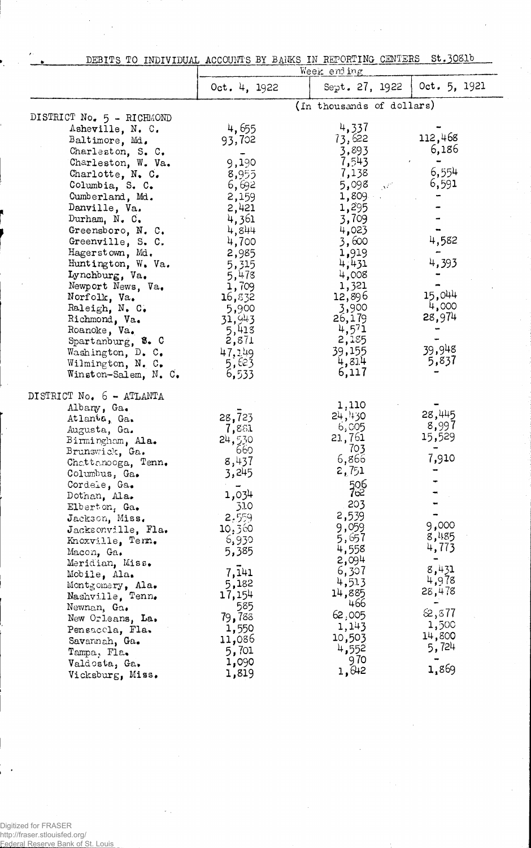| DEBITS TO INDIVIDUAL ACCOUNTS BY BANKS IN REPORTING CENTERS St.3081b | <b>The communications in applying the communication of the contrast of the contrast of the communication</b> of the communication of the communication of the communication of the communication of the communication of the commun |                                     |  |
|----------------------------------------------------------------------|-------------------------------------------------------------------------------------------------------------------------------------------------------------------------------------------------------------------------------------|-------------------------------------|--|
|                                                                      |                                                                                                                                                                                                                                     | $W \cap \mathbb{R}$ and in $\sigma$ |  |

|                           |              | week eun nik                                    |                               |
|---------------------------|--------------|-------------------------------------------------|-------------------------------|
|                           | 0ct. 4, 1922 |                                                 | Sept. 27, 1922   Oct. 5, 1921 |
|                           |              | (In thousands of dollars)                       |                               |
| DISTRICT No. 5 - RICHMOND |              |                                                 |                               |
| Asheville, N. C.          | 4,655        | 4,337                                           |                               |
| Baltimore, Md.            | 93,702       | 73,622                                          | 112,468                       |
| Charleston, S. C.         |              | 3,893                                           | 6,186                         |
| Charleston, W. Va.        | 9,190        | 7,543                                           |                               |
| Charlotte, N. C.          | 8,955        | 7,138                                           | 6,554                         |
| Columbia, S. C.           | 6,692        | 5,098<br>$\propto$ $\mathbf{v}^{\mathcal{L}^2}$ | 6,591                         |
| Cumberland, Md.           | 2,159        | 1,809                                           |                               |
| Danville, Va.             | 2,421        | 1,295                                           |                               |
| Durham, $N_{\bullet}$ C.  | 4,361        | 3,709                                           |                               |
| Greensboro, N. C.         | 4,844        | 4,023                                           |                               |
| Greenville, S. C.         | 4,700        | 3,600                                           | 4,582                         |
| Hagerstown, Md.           | 2,985        | 1,919                                           |                               |
| Huntington, W. Va.        | 5,315        | 4,431                                           | 4,393                         |
| Lynchburg, Va.            | 5,478        | 4,008                                           |                               |
| Newport News, Va.         | 1,709        | 1,321                                           |                               |
| Norfolk, Va.              | 16,832       | 12,896                                          | 15,044                        |
| Raleigh, N. C.            | 5,900        | 3,900                                           | 4,000                         |
| Richmond, Va.             | 31,943       | 26,179                                          | 28,974                        |
| Roanoke, Va.              | 5,413        |                                                 |                               |
| Spartanburg, S. C.        | 2,871        | $\frac{4}{2}, \frac{5}{15}$                     |                               |
| Washington, D. C.         | 47,349       | 39,155                                          | 39,948                        |
| Wilmington, N. C.         | 5,623        | 4,814                                           | 5,837                         |
| Winston-Salem, N. C.      | 6,533        | 6,117                                           |                               |
| DISTRICT No. 6 - ATLANTA  |              |                                                 |                               |
| Albany, Ga.               |              | 1,110                                           |                               |
| Atlanta, Ga.              | 28,723       | 24,430                                          | 28,445                        |
| Augusta, Ga.              | 7,881        | 6,005                                           | 8,997                         |
| Birmingham, Ala.          | 24,530       | 21,761                                          | 15,529                        |
| Brunswick, Ga.            | 660          | 703                                             |                               |
| Chattamoga, Tenn.         | 8,437        | 6,866                                           | 7,910                         |
| Columbus, Ga.             | 3,245        | 2,751                                           |                               |
| Cordele, Ga.              |              | 506                                             |                               |
| Dotnan, Ala.              | 1,034        | 7∝                                              |                               |
| Elberton, Ga.             | 310          | 203                                             |                               |
| Jackson, Miss.            | 2,559        | 2,539                                           |                               |
| Jacksonville, Fla.        | 10,360       | 9,059                                           | 9,000                         |
| Knoxville, Tenn.          | 6,930        | 5,657                                           | 8,485                         |
| Macon, Ga.                | 5,385        | 4,558                                           | 4,773                         |
| Meridian, Miss.           |              | 2,094                                           |                               |
| Mobile, Ala.              | 7, 141       | 6,307                                           | 8,431                         |
| Montgomery, Ala.          | 5,182        | 4,513                                           | 4,978                         |
| Nashville, Tenn.          | 17,154       | 14,885                                          | 28,478                        |
| Newnan, Ga.               | 585          | 466                                             |                               |
| New Orleans, La.          | 79,788       | 62,005                                          | 62, 577                       |
| Pensaccla, Fla.           | 1,550        | 1,143                                           | 1,500                         |
| Savarnah, Ga.             | 11,086       | 10,503                                          | 14,800                        |
| Tampa, Fla.               | 5,701        | 4,552                                           | 5,724                         |
| Valdosta, Ga.             | 1,090        | 970                                             |                               |
| Vicksburg, Miss.          | 1,819        | 1,642                                           | 1,869                         |

Digitized for FRASER<br>http://fraser.stlouisfed.org/<br><u>Federal Reserve Bank of St. L</u>ouis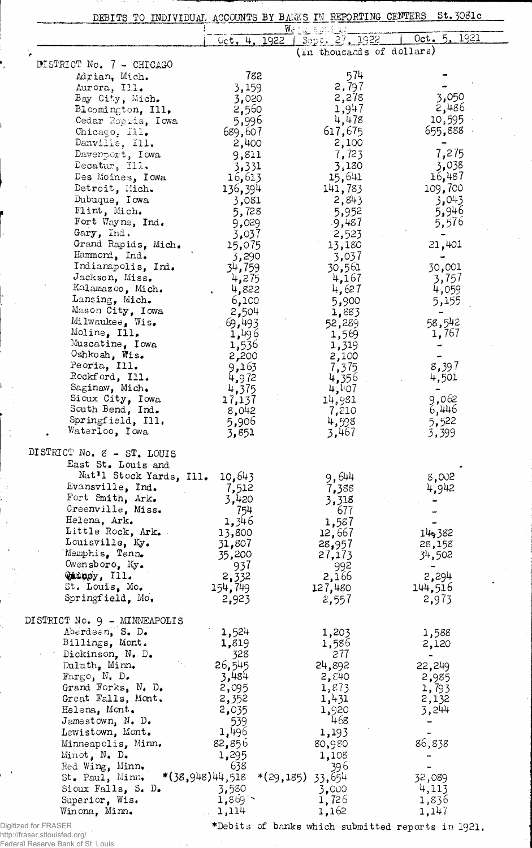| DEBITS TO INDIVIDUAL ACCOUNTS BY BANKS IN REPORTING CENTERS |                   |                                       | St.3081c        |
|-------------------------------------------------------------|-------------------|---------------------------------------|-----------------|
|                                                             | 0ct, 4, 1922      | $W_{\mathcal{C}}$ :<br>Sept. 27, 1922 | 1921<br>Oct. 5. |
|                                                             |                   | (in thousands of dollars)             |                 |
| DISTRICT No. 7 - CHICAGO                                    |                   |                                       |                 |
| Adrian, Mich.                                               | 782               | 574                                   |                 |
| Aurora, Ill.                                                | 3,159             | 2,797                                 |                 |
| Bay City, Mich.                                             | 3,020             | 2,278                                 | 3,050           |
| Bloomington, Ill.                                           | 2,560             | 1,947                                 | 2,486           |
| Cedar Ropids, Iowa                                          | 5,996             | 4,478                                 | 10,595          |
| Chicago, Ill.                                               | 689,607           | 617,675                               | 655,888         |
| Danville, Ill.                                              | 2,400             | 2,100                                 |                 |
| Davenport, Iowa                                             | 9,811             | 7,723                                 | 7,275           |
| Decatur, Ill.                                               | 3,331             | 3,130                                 | 3,038           |
| Des Moines, Iowa                                            | 16,613            | 15,641                                | 16,487          |
| Detroit, Mich.                                              | 136,394           | 141,783                               | 109,700         |
| Dubuque, Iowa                                               | 3,081             | 2,843                                 | 3,043           |
| Flint, Mich.                                                | 5,728             | 5,952                                 | 5,946           |
| Fort Wayne, Ind.                                            | 9,029             | .9,487                                | 5,576           |
| Gary, Ind.                                                  | 3,037             | 2,523                                 |                 |
| Grand Rapids, Mich.                                         | 15,075            | 13,180                                | 21,401          |
| Hammord, Ind.                                               | 3,290             | 3,037                                 |                 |
| Indianapolis, Ind.<br>Jackson, Miss.                        | 34 <b>,</b> 759   | 30,561                                | 30,001          |
| Kalamazoo, Mich.                                            | 4,275<br>4,822    | 4,167<br>4,627                        | 3,757           |
| Lansing, Mich.                                              | 6,100             | 5,900                                 | 4,059<br>5,155  |
| Mason City, Iowa                                            | 2,504             | 1,883                                 |                 |
| Milwaukee, Wis.                                             | 69,493            | 52,289                                | 58,542          |
| Moline, Ill.                                                | 1,496             | 1,569                                 | 1,767           |
| Muscatine, Iowa                                             | 1,536             | 1,319                                 |                 |
| Oshkosh, Wis.                                               | 2,200             | 2,100                                 |                 |
| Peoria, Ill.                                                | 9,163             | 7,375                                 | 8,397           |
| Rockford, Ill.                                              | 4,972             | 4,356                                 | 4,501           |
| Saginaw, Mich.                                              | 4,375             | 4,407                                 |                 |
| Sioux City, Iowa                                            | 17,137            | 14,981                                | 9,062           |
| South Bend, Ind.<br>Springfield, Ill.                       | 8,042             | 7,210                                 | 6,446           |
| Waterloo, Iowa                                              | 5,906<br>3,851    | 4,598<br>3,467                        | 5,522<br>3,399  |
|                                                             |                   |                                       |                 |
| DISTRICT No. 8 - ST. LOUIS                                  |                   |                                       |                 |
| East St. Louis and                                          |                   |                                       |                 |
| Nat'l Stock Yards, Ill.                                     | 10,643            | 9,644                                 | 8,002           |
| Evansville, Ind.                                            | 7,512             | 7,388                                 | 4,942           |
| Fort Smith, Ark.                                            | 3,420             | 3,318                                 |                 |
| Greenville, Miss.                                           | 754               | 677                                   |                 |
| Helena, Ark.                                                | 1,346             |                                       |                 |
|                                                             |                   | 1,587                                 |                 |
| Little Rock, Ark.                                           | 13,800            | 12,667                                | 14,382          |
| Louisville, Ky.                                             | 31,807            | 28,957                                | 28,158          |
| Memphis, Tenn.                                              | 35,200            | 27,173                                | 34,502          |
| Owensboro, $Ky_{\bullet}$                                   | 937               | 992                                   |                 |
| Quingy, Ill.                                                | 2,332             | 2,166                                 | 2,294           |
| St. Louis, Mo.<br>Springfield, Mo.                          | 154,749           | 127,480                               | 144,516         |
|                                                             | 2,923             | 2,557                                 | 2,973           |
| DISTRICT No. 9 - MINNEAPOLIS                                |                   |                                       |                 |
| Aberdeen, S. D.                                             | 1,524             | 1,203                                 | 1,588           |
| Billings, Mont.                                             | 1,819             | 1,586                                 | 2,120           |
| Dickinson, N. D.                                            | 328               | 277                                   |                 |
| Daluth, Minn.                                               | 26,545            | 24,892                                | 22,249          |
| $\text{Fargo, N. D.}$                                       | 3,484             | 2, 840                                | 2,985           |
| Grand Forks, $N_e$ D.                                       | 2,095             | 1, 873                                | 1,793           |
| Great Falls, Mont.                                          | 2,352             | 1,431                                 | 2,132           |
| Helena, Mont.                                               | 2,035             | 1,920                                 | 3,244           |
| Jamestown, N. D.                                            | 539               | 468                                   |                 |
| Lewistown, Mont.                                            | 1,496             | 1,193                                 |                 |
| Minneapolis, Minn.                                          | 82,856            | 80,980                                | 86,838          |
| Minot, N. D.                                                | 1,295             | 1,108                                 |                 |
| Red Wing, Minn.                                             | 638               | 396                                   |                 |
| St. Paul, Minn.                                             | $*(38,948)44,518$ | $*(29,185)$ 33,654                    | 32,089          |
| Sioux Falls, S. D.<br>Superior, Wis.                        | 3,580<br>1,869    | 3,000<br>1,726                        | 4,113<br>1,836  |

http://fraser.stlouisfed.org/

Federal Reserve Bank of St. Louis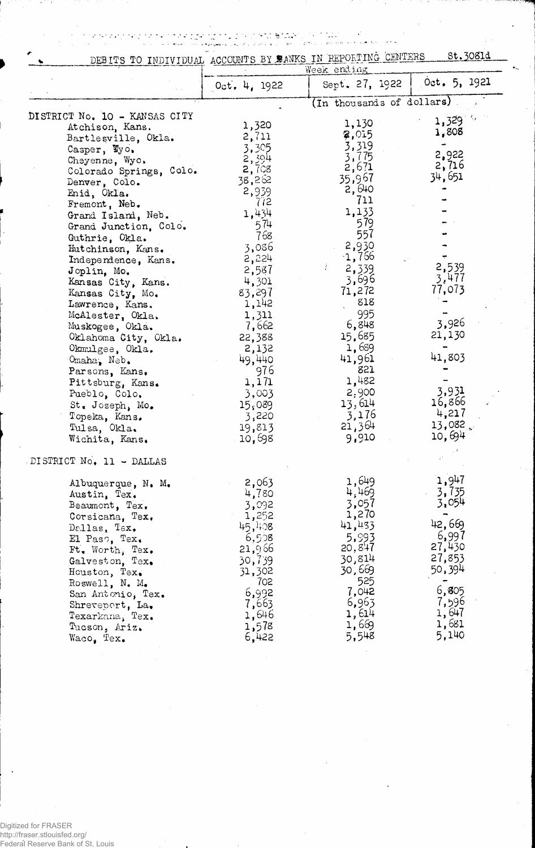regise per saar p<mark>a</mark>r it d

| DEBITS TO INDIVIDUAL ACCOUNTS BY BANKS IN REPORTING CENTERS                                                                                                                                                                                                                                  |                                                                                                              |                                                                                                                 | St. 3081d                                  |  |
|----------------------------------------------------------------------------------------------------------------------------------------------------------------------------------------------------------------------------------------------------------------------------------------------|--------------------------------------------------------------------------------------------------------------|-----------------------------------------------------------------------------------------------------------------|--------------------------------------------|--|
|                                                                                                                                                                                                                                                                                              |                                                                                                              | Week ending                                                                                                     |                                            |  |
|                                                                                                                                                                                                                                                                                              | 0ct. 4.1922                                                                                                  | Sept. 27, 1922                                                                                                  | 0ct. 5, 1921                               |  |
|                                                                                                                                                                                                                                                                                              |                                                                                                              | (In thousands of dollars)                                                                                       |                                            |  |
| CT No. 10 - KANSAS CITY<br>Atchison, Kans.<br>Bartlesville, Okla.<br>Casper, Wyo.<br>Cheyenne, Wyo.<br>Colorado Springs, Colo.<br>Denver, Colo.<br>Enid, Okla.<br>Fremont, Neb.<br>Grand Island, Neb.<br>Grand Junction, Colo.<br>Guthrie, Okla.<br>Hutchinson, Kans.<br>Independence, Kans. | 1,320<br>2,711<br>3,305<br>2,394<br>2,708<br>38,262<br>2,939<br>772<br>1,434<br>574<br>768<br>3,086<br>2,224 | 1,130<br>2,015<br>3,319<br>3,775<br>2,671<br>35,967<br>2,640<br>711<br>1,133<br>579<br>557<br>2,930<br>$-1,766$ | 1,329<br>1,808<br>2,922<br>2,716<br>34,651 |  |
| Joplin, Mo.<br>Kansas City, Kans.                                                                                                                                                                                                                                                            | 2,587<br>4,301                                                                                               | 2,339<br>3,696                                                                                                  | 2,539<br>3,477                             |  |
| Kansas City, Mo.                                                                                                                                                                                                                                                                             | 83,297                                                                                                       | 71,272                                                                                                          | 77,073                                     |  |
| Lawrence, Kans.                                                                                                                                                                                                                                                                              | 1,142                                                                                                        | 818                                                                                                             |                                            |  |
| McAlester, Okla.                                                                                                                                                                                                                                                                             | 1,311                                                                                                        | 995                                                                                                             |                                            |  |
| Muskogee, Okla.                                                                                                                                                                                                                                                                              | 7,662                                                                                                        | 6,848                                                                                                           | 3,926                                      |  |
| Oklahoma City, Okla.                                                                                                                                                                                                                                                                         | 22,388                                                                                                       | 15,685                                                                                                          | 21,130                                     |  |

1,689

41,961

821

 $1,482$ 

 $2,900$ 

13,614

 $3,176$ <br>21,364<br>9,910

41,803

3,931

16,866

 $4,217$ 

13,082

10,694

 $\mathbf{x}^{\dagger}$ 

| DISTRICT No. 11 - DALLAS |  |  |  |  |  |  |  |  |
|--------------------------|--|--|--|--|--|--|--|--|
|--------------------------|--|--|--|--|--|--|--|--|

Omaha, Neb.

Okmulgee, Okla.

Parsons, Kans.

Pueblo, Colo.

Topeka, Kans.<br>Tulsa, Okla.

Wichita, Kans.

St. Joseph, Mo.

Pittsburg, Kans.

DISTRICT No. 10 -

| 1,649<br>4,469<br>3,057<br>1,270         | 1,947<br>3,735<br>3,054                                                                    |
|------------------------------------------|--------------------------------------------------------------------------------------------|
| 41,433<br>5.993<br>525<br>7,042<br>6,963 | 42,669<br>6,997<br>27,430<br>27,853<br>50,394<br>6,805<br>7,596<br>1,647<br>1,681<br>5,140 |
|                                          | 20,847<br>30,814<br>30,669<br>1,614<br>1,669<br>5,548                                      |

2,132

49,440

1,171

3,003

3,220

 $15,089$ 

19,813

10,698

976